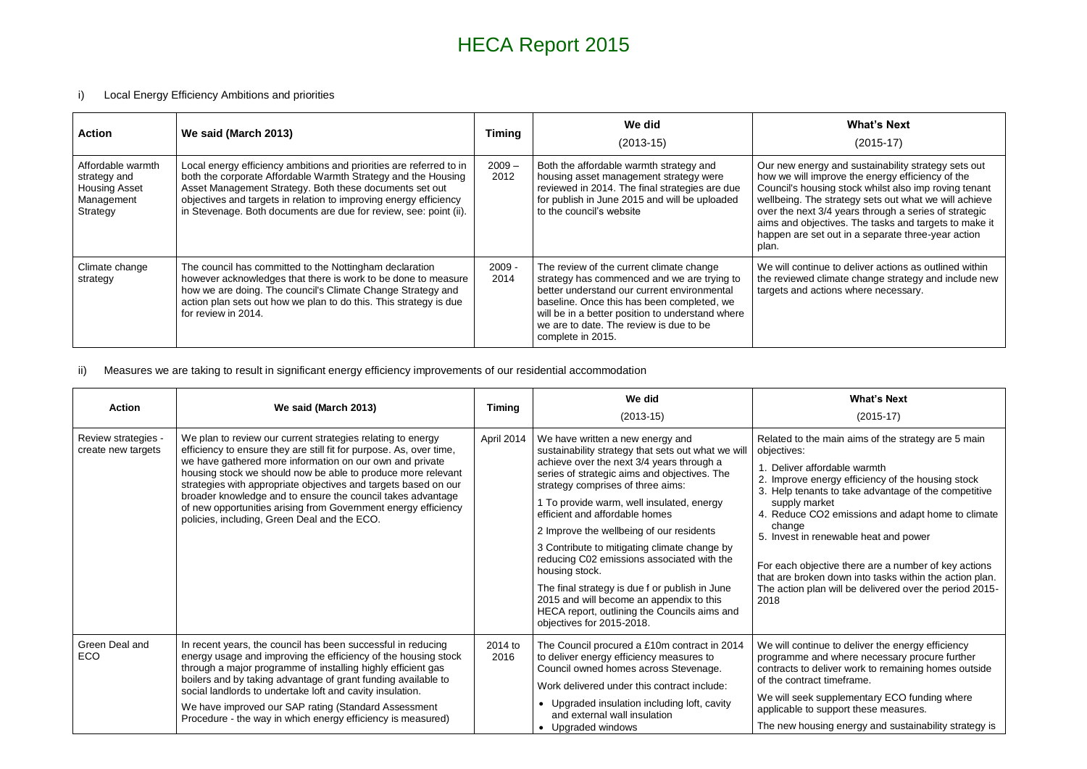# HECA Report 2015

#### i) Local Energy Efficiency Ambitions and priorities

#### **What's Next**

#### (2015-17)

gy and sustainability strategy sets out prove the energy efficiency of the sing stock whilst also imp roving tenant strategy sets out what we will achieve  $3/4$  years through a series of strategic ctives. The tasks and targets to make it t out in a separate three-year action

ue to deliver actions as outlined within tlimate change strategy and include new tions where necessary.

| <b>Action</b>                                                                       | We said (March 2013)                                                                                                                                                                                                                                                                                                                      | <b>Timing</b>    | We did<br>$(2013-15)$                                                                                                                                                                                                                                                                                    |                                                                                                                                     |
|-------------------------------------------------------------------------------------|-------------------------------------------------------------------------------------------------------------------------------------------------------------------------------------------------------------------------------------------------------------------------------------------------------------------------------------------|------------------|----------------------------------------------------------------------------------------------------------------------------------------------------------------------------------------------------------------------------------------------------------------------------------------------------------|-------------------------------------------------------------------------------------------------------------------------------------|
| Affordable warmth<br>strategy and<br><b>Housing Asset</b><br>Management<br>Strategy | Local energy efficiency ambitions and priorities are referred to in<br>both the corporate Affordable Warmth Strategy and the Housing<br>Asset Management Strategy. Both these documents set out<br>objectives and targets in relation to improving energy efficiency<br>in Stevenage. Both documents are due for review, see: point (ii). | $2009 -$<br>2012 | Both the affordable warmth strategy and<br>housing asset management strategy were<br>reviewed in 2014. The final strategies are due<br>for publish in June 2015 and will be uploaded<br>to the council's website                                                                                         | Our new energ<br>how we will im<br>Council's hous<br>wellbeing. The<br>over the next 3<br>aims and objed<br>happen are set<br>plan. |
| Climate change<br>strategy                                                          | The council has committed to the Nottingham declaration<br>however acknowledges that there is work to be done to measure<br>how we are doing. The council's Climate Change Strategy and<br>action plan sets out how we plan to do this. This strategy is due<br>for review in 2014.                                                       | $2009 -$<br>2014 | The review of the current climate change<br>strategy has commenced and we are trying to<br>better understand our current environmental<br>baseline. Once this has been completed, we<br>will be in a better position to understand where<br>we are to date. The review is due to be<br>complete in 2015. | We will continu<br>the reviewed c<br>targets and act                                                                                |

### ii) Measures we are taking to result in significant energy efficiency improvements of our residential accommodation

#### **What's Next**

(2015-17)

main aims of the strategy are 5 main

ordable warmth

ergy efficiency of the housing stock ts to take advantage of the competitive

ket 02 emissions and adapt home to climate

newable heat and power

tive there are a number of key actions n down into tasks within the action plan. n will be delivered over the period 2015-

ue to deliver the energy efficiency d where necessary procure further eliver work to remaining homes outside timeframe.

upplementary ECO funding where support these measures.

ing energy and sustainability strategy is

| <b>Action</b>                             | We said (March 2013)                                                                                                                                                                                                                                                                                                                                                                                                                                                                                               | <b>Timing</b>   | We did<br>$(2013-15)$                                                                                                                                                                                                                                                                                                                                                                                                                                                                                                                                                                                                                          |                                                                                                                                                                                                               |
|-------------------------------------------|--------------------------------------------------------------------------------------------------------------------------------------------------------------------------------------------------------------------------------------------------------------------------------------------------------------------------------------------------------------------------------------------------------------------------------------------------------------------------------------------------------------------|-----------------|------------------------------------------------------------------------------------------------------------------------------------------------------------------------------------------------------------------------------------------------------------------------------------------------------------------------------------------------------------------------------------------------------------------------------------------------------------------------------------------------------------------------------------------------------------------------------------------------------------------------------------------------|---------------------------------------------------------------------------------------------------------------------------------------------------------------------------------------------------------------|
| Review strategies -<br>create new targets | We plan to review our current strategies relating to energy<br>efficiency to ensure they are still fit for purpose. As, over time,<br>we have gathered more information on our own and private<br>housing stock we should now be able to produce more relevant<br>strategies with appropriate objectives and targets based on our<br>broader knowledge and to ensure the council takes advantage<br>of new opportunities arising from Government energy efficiency<br>policies, including, Green Deal and the ECO. | April 2014      | We have written a new energy and<br>sustainability strategy that sets out what we will<br>achieve over the next 3/4 years through a<br>series of strategic aims and objectives. The<br>strategy comprises of three aims:<br>1 To provide warm, well insulated, energy<br>efficient and affordable homes<br>2 Improve the wellbeing of our residents<br>3 Contribute to mitigating climate change by<br>reducing C02 emissions associated with the<br>housing stock.<br>The final strategy is due f or publish in June<br>2015 and will become an appendix to this<br>HECA report, outlining the Councils aims and<br>objectives for 2015-2018. | Related to the<br>objectives:<br>Deliver affo<br>2. Improve en<br>3. Help tenant<br>supply marl<br>4. Reduce CC<br>change<br>5. Invest in rea<br>For each objec<br>that are broker<br>The action plar<br>2018 |
| Green Deal and<br><b>ECO</b>              | In recent years, the council has been successful in reducing<br>energy usage and improving the efficiency of the housing stock<br>through a major programme of installing highly efficient gas<br>boilers and by taking advantage of grant funding available to<br>social landlords to undertake loft and cavity insulation.<br>We have improved our SAP rating (Standard Assessment<br>Procedure - the way in which energy efficiency is measured)                                                                | 2014 to<br>2016 | The Council procured a £10m contract in 2014<br>to deliver energy efficiency measures to<br>Council owned homes across Stevenage.<br>Work delivered under this contract include:<br>• Upgraded insulation including loft, cavity<br>and external wall insulation<br>Upgraded windows<br>$\bullet$                                                                                                                                                                                                                                                                                                                                              | We will continu<br>programme an<br>contracts to de<br>of the contract<br>We will seek st<br>applicable to st<br>The new housi                                                                                 |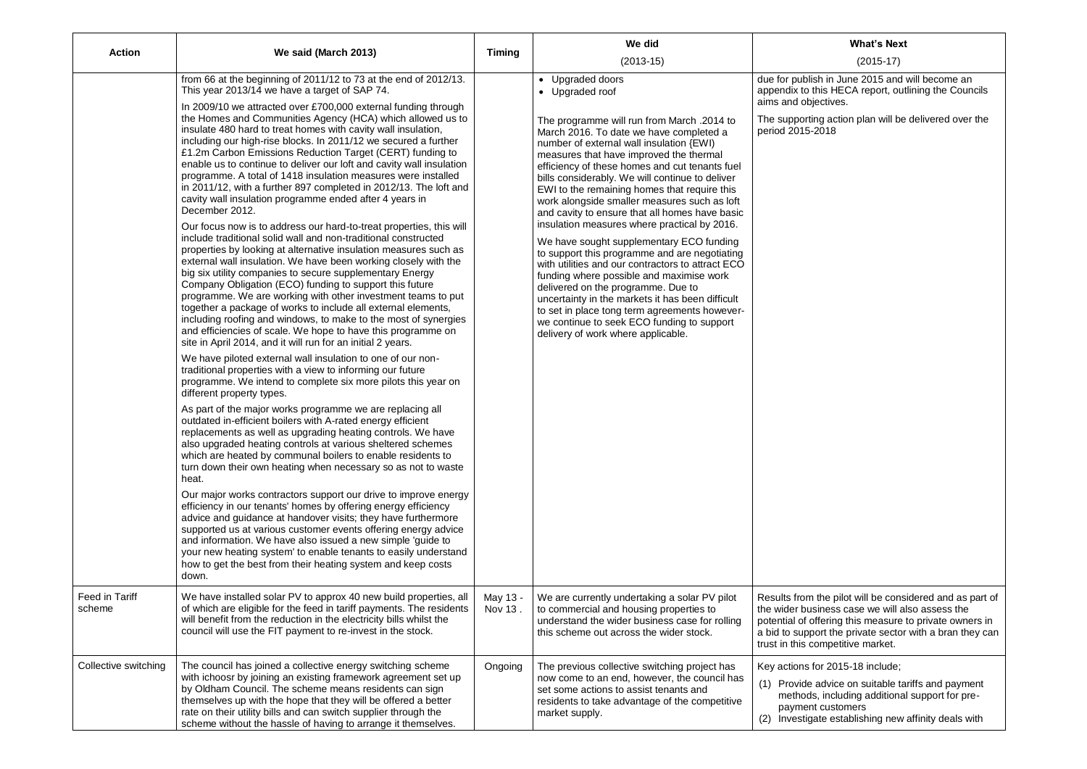#### **What's Next**

# (2015-17)

 $\overline{\phantom{a}}$  in June 2015 and will become an s HECA report, outlining the Councils tives.

action plan will be delivered over the period 2015-2018

e pilot will be considered and as part of  $\overline{\phantom{a}}$  case we will also assess the ering this measure to private owners in t the private sector with a bran they can npetitive market.

# 2015-18 include;

dvice on suitable tariffs and payment including additional support for pren creamige.<br>customers e establishing new affinity deals with

| <b>Action</b>            | We said (March 2013)                                                                                                                                                                                                                                                                                                                                                                                                                                                                                                                                                                                                                                                                                                                                                                                                                                                                                                                                                                                                                                                                                                                                                                                                                                                                                                                                                                                                                                                                                                                                                                                                                                                                                                                                                                                                                                                                                                                                                                                                                                                                                                  | <b>Timing</b>       | We did                                                                                                                                                                                                                                                                                                                                                                                                                                                                                                                                                                                                                                                                                                                                                                                                                                                                                                                                                                 |                                                                                                   |
|--------------------------|-----------------------------------------------------------------------------------------------------------------------------------------------------------------------------------------------------------------------------------------------------------------------------------------------------------------------------------------------------------------------------------------------------------------------------------------------------------------------------------------------------------------------------------------------------------------------------------------------------------------------------------------------------------------------------------------------------------------------------------------------------------------------------------------------------------------------------------------------------------------------------------------------------------------------------------------------------------------------------------------------------------------------------------------------------------------------------------------------------------------------------------------------------------------------------------------------------------------------------------------------------------------------------------------------------------------------------------------------------------------------------------------------------------------------------------------------------------------------------------------------------------------------------------------------------------------------------------------------------------------------------------------------------------------------------------------------------------------------------------------------------------------------------------------------------------------------------------------------------------------------------------------------------------------------------------------------------------------------------------------------------------------------------------------------------------------------------------------------------------------------|---------------------|------------------------------------------------------------------------------------------------------------------------------------------------------------------------------------------------------------------------------------------------------------------------------------------------------------------------------------------------------------------------------------------------------------------------------------------------------------------------------------------------------------------------------------------------------------------------------------------------------------------------------------------------------------------------------------------------------------------------------------------------------------------------------------------------------------------------------------------------------------------------------------------------------------------------------------------------------------------------|---------------------------------------------------------------------------------------------------|
|                          | from 66 at the beginning of 2011/12 to 73 at the end of 2012/13.<br>This year 2013/14 we have a target of SAP 74.<br>In 2009/10 we attracted over £700,000 external funding through<br>the Homes and Communities Agency (HCA) which allowed us to<br>insulate 480 hard to treat homes with cavity wall insulation,<br>including our high-rise blocks. In 2011/12 we secured a further<br>£1.2m Carbon Emissions Reduction Target (CERT) funding to<br>enable us to continue to deliver our loft and cavity wall insulation<br>programme. A total of 1418 insulation measures were installed<br>in 2011/12, with a further 897 completed in 2012/13. The loft and<br>cavity wall insulation programme ended after 4 years in<br>December 2012.<br>Our focus now is to address our hard-to-treat properties, this will<br>include traditional solid wall and non-traditional constructed<br>properties by looking at alternative insulation measures such as<br>external wall insulation. We have been working closely with the<br>big six utility companies to secure supplementary Energy<br>Company Obligation (ECO) funding to support this future<br>programme. We are working with other investment teams to put<br>together a package of works to include all external elements,<br>including roofing and windows, to make to the most of synergies<br>and efficiencies of scale. We hope to have this programme on<br>site in April 2014, and it will run for an initial 2 years.<br>We have piloted external wall insulation to one of our non-<br>traditional properties with a view to informing our future<br>programme. We intend to complete six more pilots this year on<br>different property types.<br>As part of the major works programme we are replacing all<br>outdated in-efficient boilers with A-rated energy efficient<br>replacements as well as upgrading heating controls. We have<br>also upgraded heating controls at various sheltered schemes<br>which are heated by communal boilers to enable residents to<br>turn down their own heating when necessary so as not to waste<br>heat. |                     | $(2013-15)$<br>• Upgraded doors<br>• Upgraded roof<br>The programme will run from March .2014 to<br>March 2016. To date we have completed a<br>number of external wall insulation {EWI)<br>measures that have improved the thermal<br>efficiency of these homes and cut tenants fuel<br>bills considerably. We will continue to deliver<br>EWI to the remaining homes that require this<br>work alongside smaller measures such as loft<br>and cavity to ensure that all homes have basic<br>insulation measures where practical by 2016.<br>We have sought supplementary ECO funding<br>to support this programme and are negotiating<br>with utilities and our contractors to attract ECO<br>funding where possible and maximise work<br>delivered on the programme. Due to<br>uncertainty in the markets it has been difficult<br>to set in place tong term agreements however-<br>we continue to seek ECO funding to support<br>delivery of work where applicable. | due for publish<br>appendix to this<br>aims and object<br>The supporting<br>period 2015-20        |
|                          | Our major works contractors support our drive to improve energy<br>efficiency in our tenants' homes by offering energy efficiency<br>advice and guidance at handover visits; they have furthermore<br>supported us at various customer events offering energy advice<br>and information. We have also issued a new simple 'guide to<br>your new heating system' to enable tenants to easily understand<br>how to get the best from their heating system and keep costs<br>down.                                                                                                                                                                                                                                                                                                                                                                                                                                                                                                                                                                                                                                                                                                                                                                                                                                                                                                                                                                                                                                                                                                                                                                                                                                                                                                                                                                                                                                                                                                                                                                                                                                       |                     |                                                                                                                                                                                                                                                                                                                                                                                                                                                                                                                                                                                                                                                                                                                                                                                                                                                                                                                                                                        |                                                                                                   |
| Feed in Tariff<br>scheme | We have installed solar PV to approx 40 new build properties, all<br>of which are eligible for the feed in tariff payments. The residents<br>will benefit from the reduction in the electricity bills whilst the<br>council will use the FIT payment to re-invest in the stock.                                                                                                                                                                                                                                                                                                                                                                                                                                                                                                                                                                                                                                                                                                                                                                                                                                                                                                                                                                                                                                                                                                                                                                                                                                                                                                                                                                                                                                                                                                                                                                                                                                                                                                                                                                                                                                       | May 13 -<br>Nov 13. | We are currently undertaking a solar PV pilot<br>to commercial and housing properties to<br>understand the wider business case for rolling<br>this scheme out across the wider stock.                                                                                                                                                                                                                                                                                                                                                                                                                                                                                                                                                                                                                                                                                                                                                                                  | Results from the<br>the wider busin<br>potential of offe<br>a bid to support<br>trust in this com |
| Collective switching     | The council has joined a collective energy switching scheme<br>with ichoosr by joining an existing framework agreement set up<br>by Oldham Council. The scheme means residents can sign<br>themselves up with the hope that they will be offered a better<br>rate on their utility bills and can switch supplier through the<br>scheme without the hassle of having to arrange it themselves.                                                                                                                                                                                                                                                                                                                                                                                                                                                                                                                                                                                                                                                                                                                                                                                                                                                                                                                                                                                                                                                                                                                                                                                                                                                                                                                                                                                                                                                                                                                                                                                                                                                                                                                         | Ongoing             | The previous collective switching project has<br>now come to an end, however, the council has<br>set some actions to assist tenants and<br>residents to take advantage of the competitive<br>market supply.                                                                                                                                                                                                                                                                                                                                                                                                                                                                                                                                                                                                                                                                                                                                                            | Key actions for<br>(1) Provide ad<br>methods, i<br>payment c<br>Investigate<br>(2)                |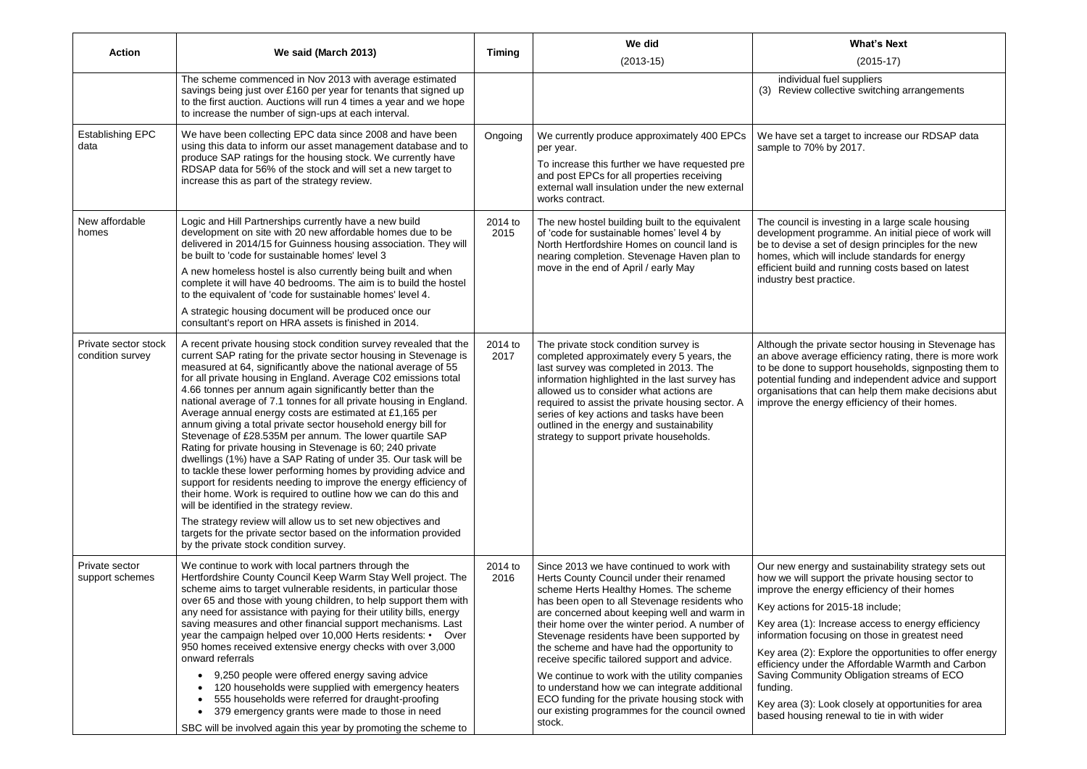### **What's Next**

(2015-17)

fuel suppliers ollective switching arrangements

I target to increase our RDSAP data by 2017.

investing in a large scale housing orogramme. An initial piece of work will set of design principles for the new will include standards for energy and running costs based on latest practice.

rivate sector housing in Stevenage has rage efficiency rating, there is more work support households, signposting them to ng and independent advice and support that can help them make decisions abut nergy efficiency of their homes.

gy and sustainability strategy sets out pport the private housing sector to nergy efficiency of their homes

 $\cdot$  2015-18 include;

Increase access to energy efficiency cusing on those in greatest need

Explore the opportunities to offer energy er the Affordable Warmth and Carbon unity Obligation streams of ECO

Look closely at opportunities for area renewal to tie in with wider

| <b>Action</b>                            | We said (March 2013)                                                                                                                                                                                                                                                                                                                                                                                                                                                                                                                                                                                                                                                                                                                                                                                                                                                                                                                                                                                                                                                                                                                                                      | <b>Timing</b>   | We did                                                                                                                                                                                                                                                                                                                                                                                                                                                                                                                                                                                                                                         |                                                                                                                                                                                                                       |
|------------------------------------------|---------------------------------------------------------------------------------------------------------------------------------------------------------------------------------------------------------------------------------------------------------------------------------------------------------------------------------------------------------------------------------------------------------------------------------------------------------------------------------------------------------------------------------------------------------------------------------------------------------------------------------------------------------------------------------------------------------------------------------------------------------------------------------------------------------------------------------------------------------------------------------------------------------------------------------------------------------------------------------------------------------------------------------------------------------------------------------------------------------------------------------------------------------------------------|-----------------|------------------------------------------------------------------------------------------------------------------------------------------------------------------------------------------------------------------------------------------------------------------------------------------------------------------------------------------------------------------------------------------------------------------------------------------------------------------------------------------------------------------------------------------------------------------------------------------------------------------------------------------------|-----------------------------------------------------------------------------------------------------------------------------------------------------------------------------------------------------------------------|
|                                          | The scheme commenced in Nov 2013 with average estimated<br>savings being just over £160 per year for tenants that signed up<br>to the first auction. Auctions will run 4 times a year and we hope<br>to increase the number of sign-ups at each interval.                                                                                                                                                                                                                                                                                                                                                                                                                                                                                                                                                                                                                                                                                                                                                                                                                                                                                                                 |                 | $(2013-15)$                                                                                                                                                                                                                                                                                                                                                                                                                                                                                                                                                                                                                                    | individual<br>(3)<br><b>Review</b> co                                                                                                                                                                                 |
| <b>Establishing EPC</b><br>data          | We have been collecting EPC data since 2008 and have been<br>using this data to inform our asset management database and to<br>produce SAP ratings for the housing stock. We currently have<br>RDSAP data for 56% of the stock and will set a new target to<br>increase this as part of the strategy review.                                                                                                                                                                                                                                                                                                                                                                                                                                                                                                                                                                                                                                                                                                                                                                                                                                                              | Ongoing         | We currently produce approximately 400 EPCs<br>per year.<br>To increase this further we have requested pre<br>and post EPCs for all properties receiving<br>external wall insulation under the new external<br>works contract.                                                                                                                                                                                                                                                                                                                                                                                                                 | We have set a<br>sample to 70%                                                                                                                                                                                        |
| New affordable<br>homes                  | Logic and Hill Partnerships currently have a new build<br>development on site with 20 new affordable homes due to be<br>delivered in 2014/15 for Guinness housing association. They will<br>be built to 'code for sustainable homes' level 3<br>A new homeless hostel is also currently being built and when<br>complete it will have 40 bedrooms. The aim is to build the hostel<br>to the equivalent of 'code for sustainable homes' level 4.<br>A strategic housing document will be produced once our<br>consultant's report on HRA assets is finished in 2014.                                                                                                                                                                                                                                                                                                                                                                                                                                                                                                                                                                                                       | 2014 to<br>2015 | The new hostel building built to the equivalent<br>of 'code for sustainable homes' level 4 by<br>North Hertfordshire Homes on council land is<br>nearing completion. Stevenage Haven plan to<br>move in the end of April / early May                                                                                                                                                                                                                                                                                                                                                                                                           | The council is i<br>development p<br>be to devise a<br>homes, which<br>efficient build a<br>industry best p                                                                                                           |
| Private sector stock<br>condition survey | A recent private housing stock condition survey revealed that the<br>current SAP rating for the private sector housing in Stevenage is<br>measured at 64, significantly above the national average of 55<br>for all private housing in England. Average C02 emissions total<br>4.66 tonnes per annum again significantly better than the<br>national average of 7.1 tonnes for all private housing in England.<br>Average annual energy costs are estimated at £1,165 per<br>annum giving a total private sector household energy bill for<br>Stevenage of £28.535M per annum. The lower quartile SAP<br>Rating for private housing in Stevenage is 60; 240 private<br>dwellings (1%) have a SAP Rating of under 35. Our task will be<br>to tackle these lower performing homes by providing advice and<br>support for residents needing to improve the energy efficiency of<br>their home. Work is required to outline how we can do this and<br>will be identified in the strategy review.<br>The strategy review will allow us to set new objectives and<br>targets for the private sector based on the information provided<br>by the private stock condition survey. | 2014 to<br>2017 | The private stock condition survey is<br>completed approximately every 5 years, the<br>last survey was completed in 2013. The<br>information highlighted in the last survey has<br>allowed us to consider what actions are<br>required to assist the private housing sector. A<br>series of key actions and tasks have been<br>outlined in the energy and sustainability<br>strategy to support private households.                                                                                                                                                                                                                            | Although the p<br>an above avera<br>to be done to s<br>potential fundir<br>organisations t<br>improve the en                                                                                                          |
| Private sector<br>support schemes        | We continue to work with local partners through the<br>Hertfordshire County Council Keep Warm Stay Well project. The<br>scheme aims to target vulnerable residents, in particular those<br>over 65 and those with young children, to help support them with<br>any need for assistance with paying for their utility bills, energy<br>saving measures and other financial support mechanisms. Last<br>year the campaign helped over 10,000 Herts residents: •<br>Over<br>950 homes received extensive energy checks with over 3,000<br>onward referrals<br>9,250 people were offered energy saving advice<br>120 households were supplied with emergency heaters<br>555 households were referred for draught-proofing<br>379 emergency grants were made to those in need<br>SBC will be involved again this year by promoting the scheme to                                                                                                                                                                                                                                                                                                                               | 2014 to<br>2016 | Since 2013 we have continued to work with<br>Herts County Council under their renamed<br>scheme Herts Healthy Homes. The scheme<br>has been open to all Stevenage residents who<br>are concerned about keeping well and warm in<br>their home over the winter period. A number of<br>Stevenage residents have been supported by<br>the scheme and have had the opportunity to<br>receive specific tailored support and advice.<br>We continue to work with the utility companies<br>to understand how we can integrate additional<br>ECO funding for the private housing stock with<br>our existing programmes for the council owned<br>stock. | Our new energ<br>how we will sup<br>improve the en<br>Key actions for<br>Key area $(1)$ : In<br>information foc<br>Key area (2): E<br>efficiency unde<br>Saving Commu<br>funding.<br>Key area (3): L<br>based housing |